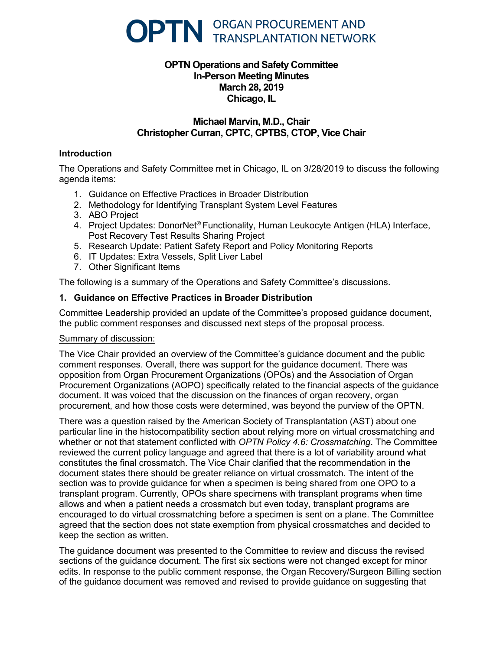

# **OPTN Operations and Safety Committee In-Person Meeting Minutes March 28, 2019 Chicago, IL**

# **Michael Marvin, M.D., Chair Christopher Curran, CPTC, CPTBS, CTOP, Vice Chair**

# **Introduction**

The Operations and Safety Committee met in Chicago, IL on 3/28/2019 to discuss the following agenda items:

- 1. Guidance on Effective Practices in Broader Distribution
- 2. Methodology for Identifying Transplant System Level Features
- 3. ABO Project
- 4. Project Updates: DonorNet® Functionality, Human Leukocyte Antigen (HLA) Interface, Post Recovery Test Results Sharing Project
- 5. Research Update: Patient Safety Report and Policy Monitoring Reports
- 6. IT Updates: Extra Vessels, Split Liver Label
- 7. Other Significant Items

The following is a summary of the Operations and Safety Committee's discussions.

# **1. Guidance on Effective Practices in Broader Distribution**

Committee Leadership provided an update of the Committee's proposed guidance document, the public comment responses and discussed next steps of the proposal process.

#### Summary of discussion:

The Vice Chair provided an overview of the Committee's guidance document and the public comment responses. Overall, there was support for the guidance document. There was opposition from Organ Procurement Organizations (OPOs) and the Association of Organ Procurement Organizations (AOPO) specifically related to the financial aspects of the guidance document. It was voiced that the discussion on the finances of organ recovery, organ procurement, and how those costs were determined, was beyond the purview of the OPTN.

There was a question raised by the American Society of Transplantation (AST) about one particular line in the histocompatibility section about relying more on virtual crossmatching and whether or not that statement conflicted with *OPTN Policy 4.6: Crossmatching*. The Committee reviewed the current policy language and agreed that there is a lot of variability around what constitutes the final crossmatch. The Vice Chair clarified that the recommendation in the document states there should be greater reliance on virtual crossmatch. The intent of the section was to provide guidance for when a specimen is being shared from one OPO to a transplant program. Currently, OPOs share specimens with transplant programs when time allows and when a patient needs a crossmatch but even today, transplant programs are encouraged to do virtual crossmatching before a specimen is sent on a plane. The Committee agreed that the section does not state exemption from physical crossmatches and decided to keep the section as written.

The guidance document was presented to the Committee to review and discuss the revised sections of the guidance document. The first six sections were not changed except for minor edits. In response to the public comment response, the Organ Recovery/Surgeon Billing section of the guidance document was removed and revised to provide guidance on suggesting that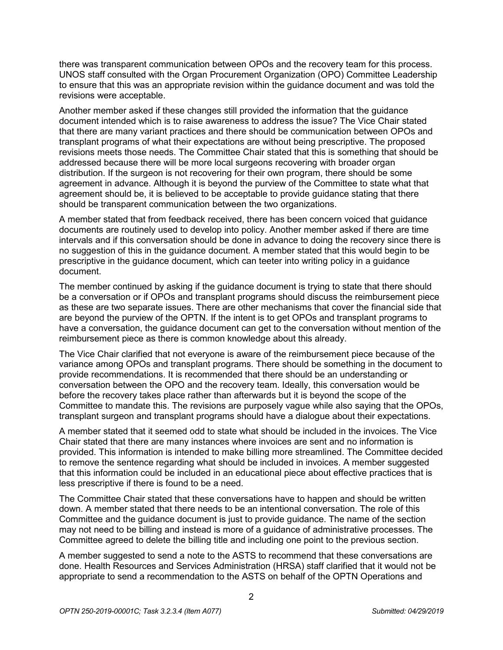there was transparent communication between OPOs and the recovery team for this process. UNOS staff consulted with the Organ Procurement Organization (OPO) Committee Leadership to ensure that this was an appropriate revision within the guidance document and was told the revisions were acceptable.

Another member asked if these changes still provided the information that the guidance document intended which is to raise awareness to address the issue? The Vice Chair stated that there are many variant practices and there should be communication between OPOs and transplant programs of what their expectations are without being prescriptive. The proposed revisions meets those needs. The Committee Chair stated that this is something that should be addressed because there will be more local surgeons recovering with broader organ distribution. If the surgeon is not recovering for their own program, there should be some agreement in advance. Although it is beyond the purview of the Committee to state what that agreement should be, it is believed to be acceptable to provide guidance stating that there should be transparent communication between the two organizations.

A member stated that from feedback received, there has been concern voiced that guidance documents are routinely used to develop into policy. Another member asked if there are time intervals and if this conversation should be done in advance to doing the recovery since there is no suggestion of this in the guidance document. A member stated that this would begin to be prescriptive in the guidance document, which can teeter into writing policy in a guidance document.

The member continued by asking if the guidance document is trying to state that there should be a conversation or if OPOs and transplant programs should discuss the reimbursement piece as these are two separate issues. There are other mechanisms that cover the financial side that are beyond the purview of the OPTN. If the intent is to get OPOs and transplant programs to have a conversation, the guidance document can get to the conversation without mention of the reimbursement piece as there is common knowledge about this already.

The Vice Chair clarified that not everyone is aware of the reimbursement piece because of the variance among OPOs and transplant programs. There should be something in the document to provide recommendations. It is recommended that there should be an understanding or conversation between the OPO and the recovery team. Ideally, this conversation would be before the recovery takes place rather than afterwards but it is beyond the scope of the Committee to mandate this. The revisions are purposely vague while also saying that the OPOs, transplant surgeon and transplant programs should have a dialogue about their expectations.

A member stated that it seemed odd to state what should be included in the invoices. The Vice Chair stated that there are many instances where invoices are sent and no information is provided. This information is intended to make billing more streamlined. The Committee decided to remove the sentence regarding what should be included in invoices. A member suggested that this information could be included in an educational piece about effective practices that is less prescriptive if there is found to be a need.

The Committee Chair stated that these conversations have to happen and should be written down. A member stated that there needs to be an intentional conversation. The role of this Committee and the guidance document is just to provide guidance. The name of the section may not need to be billing and instead is more of a guidance of administrative processes. The Committee agreed to delete the billing title and including one point to the previous section.

A member suggested to send a note to the ASTS to recommend that these conversations are done. Health Resources and Services Administration (HRSA) staff clarified that it would not be appropriate to send a recommendation to the ASTS on behalf of the OPTN Operations and

2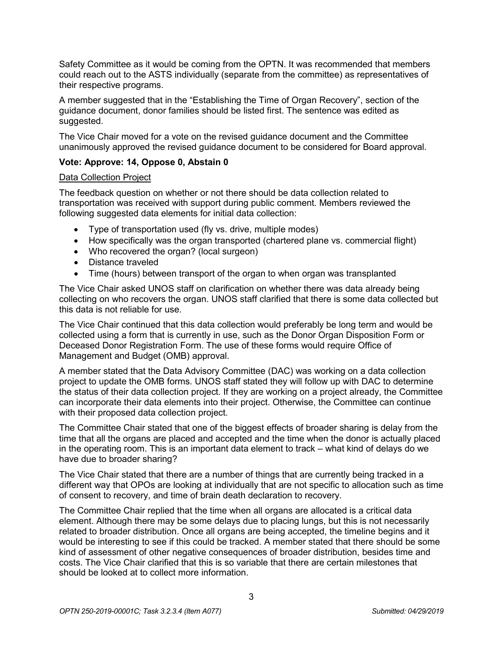Safety Committee as it would be coming from the OPTN. It was recommended that members could reach out to the ASTS individually (separate from the committee) as representatives of their respective programs.

A member suggested that in the "Establishing the Time of Organ Recovery", section of the guidance document, donor families should be listed first. The sentence was edited as suggested.

The Vice Chair moved for a vote on the revised guidance document and the Committee unanimously approved the revised guidance document to be considered for Board approval.

# **Vote: Approve: 14, Oppose 0, Abstain 0**

#### Data Collection Project

The feedback question on whether or not there should be data collection related to transportation was received with support during public comment. Members reviewed the following suggested data elements for initial data collection:

- Type of transportation used (fly vs. drive, multiple modes)
- How specifically was the organ transported (chartered plane vs. commercial flight)
- Who recovered the organ? (local surgeon)
- Distance traveled
- Time (hours) between transport of the organ to when organ was transplanted

The Vice Chair asked UNOS staff on clarification on whether there was data already being collecting on who recovers the organ. UNOS staff clarified that there is some data collected but this data is not reliable for use.

The Vice Chair continued that this data collection would preferably be long term and would be collected using a form that is currently in use, such as the Donor Organ Disposition Form or Deceased Donor Registration Form. The use of these forms would require Office of Management and Budget (OMB) approval.

A member stated that the Data Advisory Committee (DAC) was working on a data collection project to update the OMB forms. UNOS staff stated they will follow up with DAC to determine the status of their data collection project. If they are working on a project already, the Committee can incorporate their data elements into their project. Otherwise, the Committee can continue with their proposed data collection project.

The Committee Chair stated that one of the biggest effects of broader sharing is delay from the time that all the organs are placed and accepted and the time when the donor is actually placed in the operating room. This is an important data element to track – what kind of delays do we have due to broader sharing?

The Vice Chair stated that there are a number of things that are currently being tracked in a different way that OPOs are looking at individually that are not specific to allocation such as time of consent to recovery, and time of brain death declaration to recovery.

The Committee Chair replied that the time when all organs are allocated is a critical data element. Although there may be some delays due to placing lungs, but this is not necessarily related to broader distribution. Once all organs are being accepted, the timeline begins and it would be interesting to see if this could be tracked. A member stated that there should be some kind of assessment of other negative consequences of broader distribution, besides time and costs. The Vice Chair clarified that this is so variable that there are certain milestones that should be looked at to collect more information.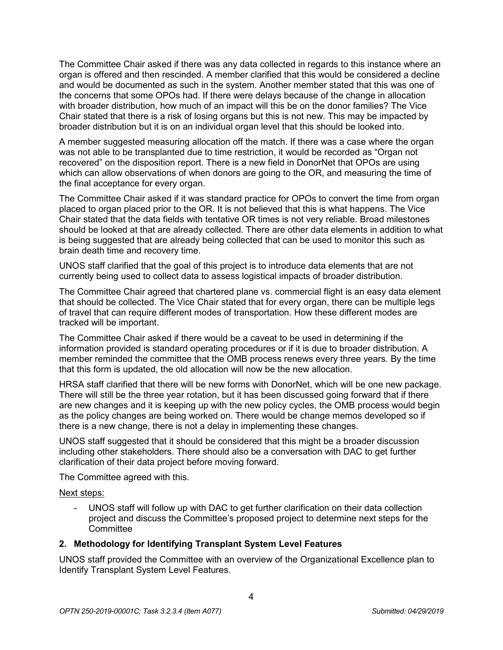The Committee Chair asked if there was any data collected in regards to this instance where an organ is offered and then rescinded. A member clarified that this would be considered a decline and would be documented as such in the system. Another member stated that this was one of the concerns that some OPOs had. If there were delays because of the change in allocation with broader distribution, how much of an impact will this be on the donor families? The Vice Chair stated that there is a risk of losing organs but this is not new. This may be impacted by broader distribution but it is on an individual organ level that this should be looked into.

A member suggested measuring allocation off the match. If there was a case where the organ was not able to be transplanted due to time restriction, it would be recorded as "Organ not recovered" on the disposition report. There is a new field in DonorNet that OPOs are using which can allow observations of when donors are going to the OR, and measuring the time of the final acceptance for every organ.

The Committee Chair asked if it was standard practice for OPOs to convert the time from organ placed to organ placed prior to the OR. It is not believed that this is what happens. The Vice Chair stated that the data fields with tentative OR times is not very reliable. Broad milestones should be looked at that are already collected. There are other data elements in addition to what is being suggested that are already being collected that can be used to monitor this such as brain death time and recovery time.

UNOS staff clarified that the goal of this project is to introduce data elements that are not currently being used to collect data to assess logistical impacts of broader distribution.

The Committee Chair agreed that chartered plane vs. commercial flight is an easy data element that should be collected. The Vice Chair stated that for every organ, there can be multiple legs of travel that can require different modes of transportation. How these different modes are tracked will be important.

The Committee Chair asked if there would be a caveat to be used in determining if the information provided is standard operating procedures or if it is due to broader distribution. A member reminded the committee that the OMB process renews every three years. By the time that this form is updated, the old allocation will now be the new allocation.

HRSA staff clarified that there will be new forms with DonorNet, which will be one new package. There will still be the three year rotation, but it has been discussed going forward that if there are new changes and it is keeping up with the new policy cycles, the OMB process would begin as the policy changes are being worked on. There would be change memos developed so if there is a new change, there is not a delay in implementing these changes.

UNOS staff suggested that it should be considered that this might be a broader discussion including other stakeholders. There should also be a conversation with DAC to get further clarification of their data project before moving forward.

The Committee agreed with this.

Next steps:

- UNOS staff will follow up with DAC to get further clarification on their data collection project and discuss the Committee's proposed project to determine next steps for the **Committee** 

# **2. Methodology for Identifying Transplant System Level Features**

UNOS staff provided the Committee with an overview of the Organizational Excellence plan to Identify Transplant System Level Features.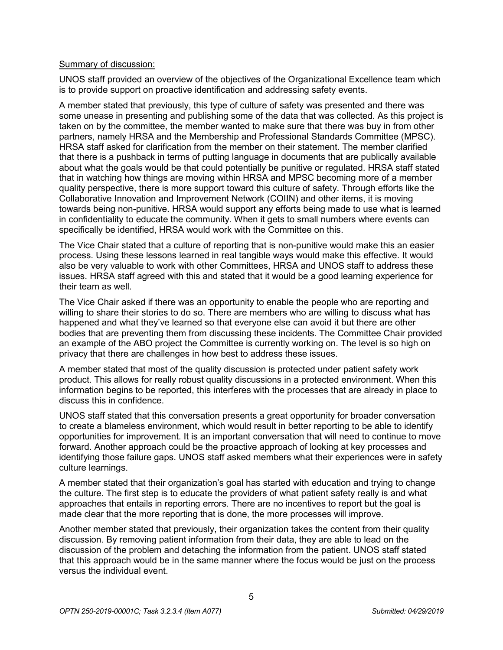#### Summary of discussion:

UNOS staff provided an overview of the objectives of the Organizational Excellence team which is to provide support on proactive identification and addressing safety events.

A member stated that previously, this type of culture of safety was presented and there was some unease in presenting and publishing some of the data that was collected. As this project is taken on by the committee, the member wanted to make sure that there was buy in from other partners, namely HRSA and the Membership and Professional Standards Committee (MPSC). HRSA staff asked for clarification from the member on their statement. The member clarified that there is a pushback in terms of putting language in documents that are publically available about what the goals would be that could potentially be punitive or regulated. HRSA staff stated that in watching how things are moving within HRSA and MPSC becoming more of a member quality perspective, there is more support toward this culture of safety. Through efforts like the Collaborative Innovation and Improvement Network (COIIN) and other items, it is moving towards being non-punitive. HRSA would support any efforts being made to use what is learned in confidentiality to educate the community. When it gets to small numbers where events can specifically be identified, HRSA would work with the Committee on this.

The Vice Chair stated that a culture of reporting that is non-punitive would make this an easier process. Using these lessons learned in real tangible ways would make this effective. It would also be very valuable to work with other Committees, HRSA and UNOS staff to address these issues. HRSA staff agreed with this and stated that it would be a good learning experience for their team as well.

The Vice Chair asked if there was an opportunity to enable the people who are reporting and willing to share their stories to do so. There are members who are willing to discuss what has happened and what they've learned so that everyone else can avoid it but there are other bodies that are preventing them from discussing these incidents. The Committee Chair provided an example of the ABO project the Committee is currently working on. The level is so high on privacy that there are challenges in how best to address these issues.

A member stated that most of the quality discussion is protected under patient safety work product. This allows for really robust quality discussions in a protected environment. When this information begins to be reported, this interferes with the processes that are already in place to discuss this in confidence.

UNOS staff stated that this conversation presents a great opportunity for broader conversation to create a blameless environment, which would result in better reporting to be able to identify opportunities for improvement. It is an important conversation that will need to continue to move forward. Another approach could be the proactive approach of looking at key processes and identifying those failure gaps. UNOS staff asked members what their experiences were in safety culture learnings.

A member stated that their organization's goal has started with education and trying to change the culture. The first step is to educate the providers of what patient safety really is and what approaches that entails in reporting errors. There are no incentives to report but the goal is made clear that the more reporting that is done, the more processes will improve.

Another member stated that previously, their organization takes the content from their quality discussion. By removing patient information from their data, they are able to lead on the discussion of the problem and detaching the information from the patient. UNOS staff stated that this approach would be in the same manner where the focus would be just on the process versus the individual event.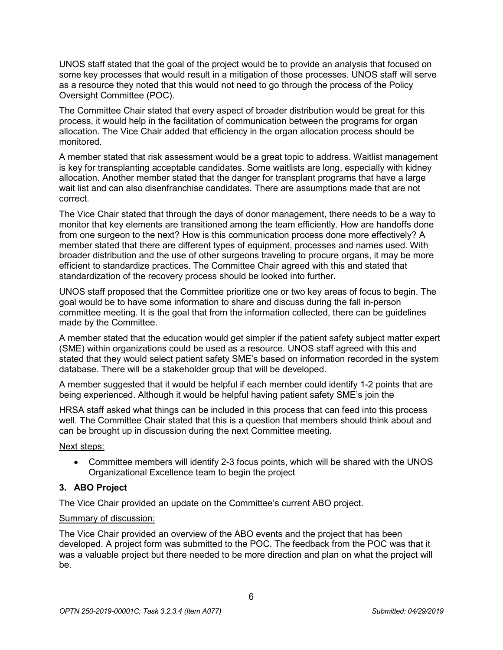UNOS staff stated that the goal of the project would be to provide an analysis that focused on some key processes that would result in a mitigation of those processes. UNOS staff will serve as a resource they noted that this would not need to go through the process of the Policy Oversight Committee (POC).

The Committee Chair stated that every aspect of broader distribution would be great for this process, it would help in the facilitation of communication between the programs for organ allocation. The Vice Chair added that efficiency in the organ allocation process should be monitored.

A member stated that risk assessment would be a great topic to address. Waitlist management is key for transplanting acceptable candidates. Some waitlists are long, especially with kidney allocation. Another member stated that the danger for transplant programs that have a large wait list and can also disenfranchise candidates. There are assumptions made that are not correct.

The Vice Chair stated that through the days of donor management, there needs to be a way to monitor that key elements are transitioned among the team efficiently. How are handoffs done from one surgeon to the next? How is this communication process done more effectively? A member stated that there are different types of equipment, processes and names used. With broader distribution and the use of other surgeons traveling to procure organs, it may be more efficient to standardize practices. The Committee Chair agreed with this and stated that standardization of the recovery process should be looked into further.

UNOS staff proposed that the Committee prioritize one or two key areas of focus to begin. The goal would be to have some information to share and discuss during the fall in-person committee meeting. It is the goal that from the information collected, there can be guidelines made by the Committee.

A member stated that the education would get simpler if the patient safety subject matter expert (SME) within organizations could be used as a resource. UNOS staff agreed with this and stated that they would select patient safety SME's based on information recorded in the system database. There will be a stakeholder group that will be developed.

A member suggested that it would be helpful if each member could identify 1-2 points that are being experienced. Although it would be helpful having patient safety SME's join the

HRSA staff asked what things can be included in this process that can feed into this process well. The Committee Chair stated that this is a question that members should think about and can be brought up in discussion during the next Committee meeting.

# Next steps:

• Committee members will identify 2-3 focus points, which will be shared with the UNOS Organizational Excellence team to begin the project

# **3. ABO Project**

The Vice Chair provided an update on the Committee's current ABO project.

# Summary of discussion:

The Vice Chair provided an overview of the ABO events and the project that has been developed. A project form was submitted to the POC. The feedback from the POC was that it was a valuable project but there needed to be more direction and plan on what the project will be.

6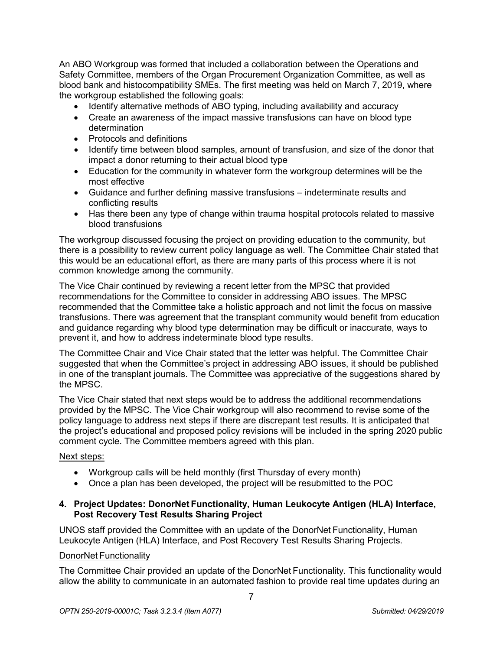An ABO Workgroup was formed that included a collaboration between the Operations and Safety Committee, members of the Organ Procurement Organization Committee, as well as blood bank and histocompatibility SMEs. The first meeting was held on March 7, 2019, where the workgroup established the following goals:

- Identify alternative methods of ABO typing, including availability and accuracy
- Create an awareness of the impact massive transfusions can have on blood type determination
- Protocols and definitions
- Identify time between blood samples, amount of transfusion, and size of the donor that impact a donor returning to their actual blood type
- Education for the community in whatever form the workgroup determines will be the most effective
- Guidance and further defining massive transfusions indeterminate results and conflicting results
- Has there been any type of change within trauma hospital protocols related to massive blood transfusions

The workgroup discussed focusing the project on providing education to the community, but there is a possibility to review current policy language as well. The Committee Chair stated that this would be an educational effort, as there are many parts of this process where it is not common knowledge among the community.

The Vice Chair continued by reviewing a recent letter from the MPSC that provided recommendations for the Committee to consider in addressing ABO issues. The MPSC recommended that the Committee take a holistic approach and not limit the focus on massive transfusions. There was agreement that the transplant community would benefit from education and guidance regarding why blood type determination may be difficult or inaccurate, ways to prevent it, and how to address indeterminate blood type results.

The Committee Chair and Vice Chair stated that the letter was helpful. The Committee Chair suggested that when the Committee's project in addressing ABO issues, it should be published in one of the transplant journals. The Committee was appreciative of the suggestions shared by the MPSC.

The Vice Chair stated that next steps would be to address the additional recommendations provided by the MPSC. The Vice Chair workgroup will also recommend to revise some of the policy language to address next steps if there are discrepant test results. It is anticipated that the project's educational and proposed policy revisions will be included in the spring 2020 public comment cycle. The Committee members agreed with this plan.

# Next steps:

- Workgroup calls will be held monthly (first Thursday of every month)
- Once a plan has been developed, the project will be resubmitted to the POC

# **4. Project Updates: DonorNet Functionality, Human Leukocyte Antigen (HLA) Interface, Post Recovery Test Results Sharing Project**

UNOS staff provided the Committee with an update of the DonorNet Functionality, Human Leukocyte Antigen (HLA) Interface, and Post Recovery Test Results Sharing Projects.

#### DonorNet Functionality

The Committee Chair provided an update of the DonorNet Functionality. This functionality would allow the ability to communicate in an automated fashion to provide real time updates during an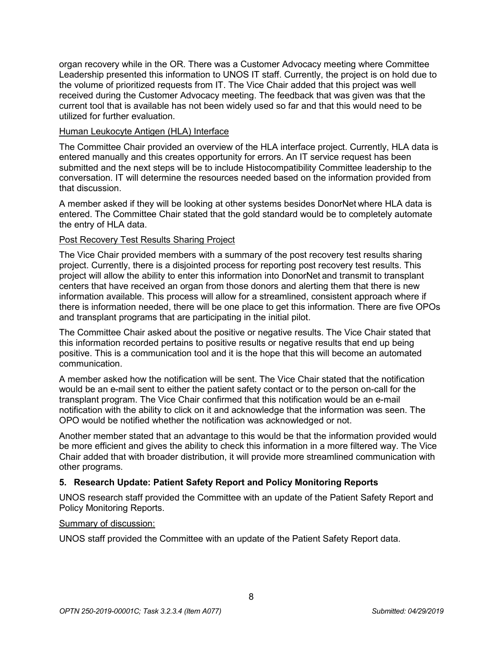organ recovery while in the OR. There was a Customer Advocacy meeting where Committee Leadership presented this information to UNOS IT staff. Currently, the project is on hold due to the volume of prioritized requests from IT. The Vice Chair added that this project was well received during the Customer Advocacy meeting. The feedback that was given was that the current tool that is available has not been widely used so far and that this would need to be utilized for further evaluation.

# Human Leukocyte Antigen (HLA) Interface

The Committee Chair provided an overview of the HLA interface project. Currently, HLA data is entered manually and this creates opportunity for errors. An IT service request has been submitted and the next steps will be to include Histocompatibility Committee leadership to the conversation. IT will determine the resources needed based on the information provided from that discussion.

A member asked if they will be looking at other systems besides DonorNet where HLA data is entered. The Committee Chair stated that the gold standard would be to completely automate the entry of HLA data.

# Post Recovery Test Results Sharing Project

The Vice Chair provided members with a summary of the post recovery test results sharing project. Currently, there is a disjointed process for reporting post recovery test results. This project will allow the ability to enter this information into DonorNet and transmit to transplant centers that have received an organ from those donors and alerting them that there is new information available. This process will allow for a streamlined, consistent approach where if there is information needed, there will be one place to get this information. There are five OPOs and transplant programs that are participating in the initial pilot.

The Committee Chair asked about the positive or negative results. The Vice Chair stated that this information recorded pertains to positive results or negative results that end up being positive. This is a communication tool and it is the hope that this will become an automated communication.

A member asked how the notification will be sent. The Vice Chair stated that the notification would be an e-mail sent to either the patient safety contact or to the person on-call for the transplant program. The Vice Chair confirmed that this notification would be an e-mail notification with the ability to click on it and acknowledge that the information was seen. The OPO would be notified whether the notification was acknowledged or not.

Another member stated that an advantage to this would be that the information provided would be more efficient and gives the ability to check this information in a more filtered way. The Vice Chair added that with broader distribution, it will provide more streamlined communication with other programs.

# **5. Research Update: Patient Safety Report and Policy Monitoring Reports**

UNOS research staff provided the Committee with an update of the Patient Safety Report and Policy Monitoring Reports.

#### Summary of discussion:

UNOS staff provided the Committee with an update of the Patient Safety Report data.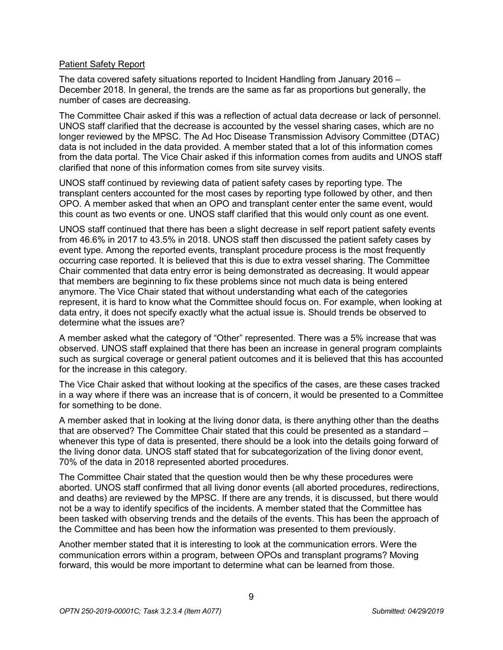#### Patient Safety Report

The data covered safety situations reported to Incident Handling from January 2016 – December 2018. In general, the trends are the same as far as proportions but generally, the number of cases are decreasing.

The Committee Chair asked if this was a reflection of actual data decrease or lack of personnel. UNOS staff clarified that the decrease is accounted by the vessel sharing cases, which are no longer reviewed by the MPSC. The Ad Hoc Disease Transmission Advisory Committee (DTAC) data is not included in the data provided. A member stated that a lot of this information comes from the data portal. The Vice Chair asked if this information comes from audits and UNOS staff clarified that none of this information comes from site survey visits.

UNOS staff continued by reviewing data of patient safety cases by reporting type. The transplant centers accounted for the most cases by reporting type followed by other, and then OPO. A member asked that when an OPO and transplant center enter the same event, would this count as two events or one. UNOS staff clarified that this would only count as one event.

UNOS staff continued that there has been a slight decrease in self report patient safety events from 46.6% in 2017 to 43.5% in 2018. UNOS staff then discussed the patient safety cases by event type. Among the reported events, transplant procedure process is the most frequently occurring case reported. It is believed that this is due to extra vessel sharing. The Committee Chair commented that data entry error is being demonstrated as decreasing. It would appear that members are beginning to fix these problems since not much data is being entered anymore. The Vice Chair stated that without understanding what each of the categories represent, it is hard to know what the Committee should focus on. For example, when looking at data entry, it does not specify exactly what the actual issue is. Should trends be observed to determine what the issues are?

A member asked what the category of "Other" represented. There was a 5% increase that was observed. UNOS staff explained that there has been an increase in general program complaints such as surgical coverage or general patient outcomes and it is believed that this has accounted for the increase in this category.

The Vice Chair asked that without looking at the specifics of the cases, are these cases tracked in a way where if there was an increase that is of concern, it would be presented to a Committee for something to be done.

A member asked that in looking at the living donor data, is there anything other than the deaths that are observed? The Committee Chair stated that this could be presented as a standard – whenever this type of data is presented, there should be a look into the details going forward of the living donor data. UNOS staff stated that for subcategorization of the living donor event, 70% of the data in 2018 represented aborted procedures.

The Committee Chair stated that the question would then be why these procedures were aborted. UNOS staff confirmed that all living donor events (all aborted procedures, redirections, and deaths) are reviewed by the MPSC. If there are any trends, it is discussed, but there would not be a way to identify specifics of the incidents. A member stated that the Committee has been tasked with observing trends and the details of the events. This has been the approach of the Committee and has been how the information was presented to them previously.

Another member stated that it is interesting to look at the communication errors. Were the communication errors within a program, between OPOs and transplant programs? Moving forward, this would be more important to determine what can be learned from those.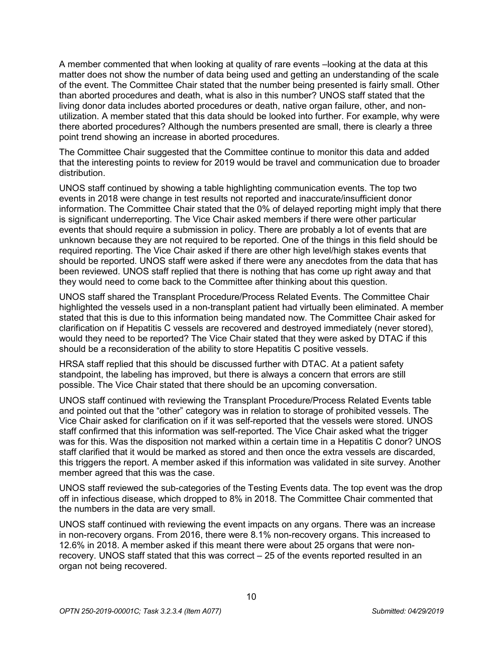A member commented that when looking at quality of rare events –looking at the data at this matter does not show the number of data being used and getting an understanding of the scale of the event. The Committee Chair stated that the number being presented is fairly small. Other than aborted procedures and death, what is also in this number? UNOS staff stated that the living donor data includes aborted procedures or death, native organ failure, other, and nonutilization. A member stated that this data should be looked into further. For example, why were there aborted procedures? Although the numbers presented are small, there is clearly a three point trend showing an increase in aborted procedures.

The Committee Chair suggested that the Committee continue to monitor this data and added that the interesting points to review for 2019 would be travel and communication due to broader distribution.

UNOS staff continued by showing a table highlighting communication events. The top two events in 2018 were change in test results not reported and inaccurate/insufficient donor information. The Committee Chair stated that the 0% of delayed reporting might imply that there is significant underreporting. The Vice Chair asked members if there were other particular events that should require a submission in policy. There are probably a lot of events that are unknown because they are not required to be reported. One of the things in this field should be required reporting. The Vice Chair asked if there are other high level/high stakes events that should be reported. UNOS staff were asked if there were any anecdotes from the data that has been reviewed. UNOS staff replied that there is nothing that has come up right away and that they would need to come back to the Committee after thinking about this question.

UNOS staff shared the Transplant Procedure/Process Related Events. The Committee Chair highlighted the vessels used in a non-transplant patient had virtually been eliminated. A member stated that this is due to this information being mandated now. The Committee Chair asked for clarification on if Hepatitis C vessels are recovered and destroyed immediately (never stored), would they need to be reported? The Vice Chair stated that they were asked by DTAC if this should be a reconsideration of the ability to store Hepatitis C positive vessels.

HRSA staff replied that this should be discussed further with DTAC. At a patient safety standpoint, the labeling has improved, but there is always a concern that errors are still possible. The Vice Chair stated that there should be an upcoming conversation.

UNOS staff continued with reviewing the Transplant Procedure/Process Related Events table and pointed out that the "other" category was in relation to storage of prohibited vessels. The Vice Chair asked for clarification on if it was self-reported that the vessels were stored. UNOS staff confirmed that this information was self-reported. The Vice Chair asked what the trigger was for this. Was the disposition not marked within a certain time in a Hepatitis C donor? UNOS staff clarified that it would be marked as stored and then once the extra vessels are discarded, this triggers the report. A member asked if this information was validated in site survey. Another member agreed that this was the case.

UNOS staff reviewed the sub-categories of the Testing Events data. The top event was the drop off in infectious disease, which dropped to 8% in 2018. The Committee Chair commented that the numbers in the data are very small.

UNOS staff continued with reviewing the event impacts on any organs. There was an increase in non-recovery organs. From 2016, there were 8.1% non-recovery organs. This increased to 12.6% in 2018. A member asked if this meant there were about 25 organs that were nonrecovery. UNOS staff stated that this was correct – 25 of the events reported resulted in an organ not being recovered.

10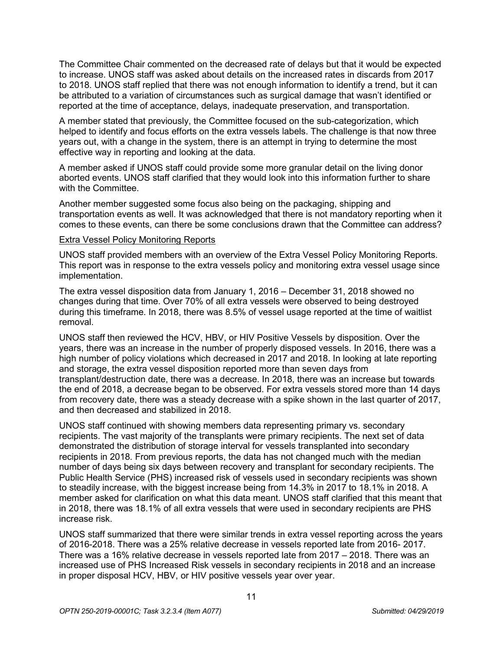The Committee Chair commented on the decreased rate of delays but that it would be expected to increase. UNOS staff was asked about details on the increased rates in discards from 2017 to 2018. UNOS staff replied that there was not enough information to identify a trend, but it can be attributed to a variation of circumstances such as surgical damage that wasn't identified or reported at the time of acceptance, delays, inadequate preservation, and transportation.

A member stated that previously, the Committee focused on the sub-categorization, which helped to identify and focus efforts on the extra vessels labels. The challenge is that now three years out, with a change in the system, there is an attempt in trying to determine the most effective way in reporting and looking at the data.

A member asked if UNOS staff could provide some more granular detail on the living donor aborted events. UNOS staff clarified that they would look into this information further to share with the Committee.

Another member suggested some focus also being on the packaging, shipping and transportation events as well. It was acknowledged that there is not mandatory reporting when it comes to these events, can there be some conclusions drawn that the Committee can address?

#### Extra Vessel Policy Monitoring Reports

UNOS staff provided members with an overview of the Extra Vessel Policy Monitoring Reports. This report was in response to the extra vessels policy and monitoring extra vessel usage since implementation.

The extra vessel disposition data from January 1, 2016 – December 31, 2018 showed no changes during that time. Over 70% of all extra vessels were observed to being destroyed during this timeframe. In 2018, there was 8.5% of vessel usage reported at the time of waitlist removal.

UNOS staff then reviewed the HCV, HBV, or HIV Positive Vessels by disposition. Over the years, there was an increase in the number of properly disposed vessels. In 2016, there was a high number of policy violations which decreased in 2017 and 2018. In looking at late reporting and storage, the extra vessel disposition reported more than seven days from transplant/destruction date, there was a decrease. In 2018, there was an increase but towards the end of 2018, a decrease began to be observed. For extra vessels stored more than 14 days from recovery date, there was a steady decrease with a spike shown in the last quarter of 2017, and then decreased and stabilized in 2018.

UNOS staff continued with showing members data representing primary vs. secondary recipients. The vast majority of the transplants were primary recipients. The next set of data demonstrated the distribution of storage interval for vessels transplanted into secondary recipients in 2018. From previous reports, the data has not changed much with the median number of days being six days between recovery and transplant for secondary recipients. The Public Health Service (PHS) increased risk of vessels used in secondary recipients was shown to steadily increase, with the biggest increase being from 14.3% in 2017 to 18.1% in 2018. A member asked for clarification on what this data meant. UNOS staff clarified that this meant that in 2018, there was 18.1% of all extra vessels that were used in secondary recipients are PHS increase risk.

UNOS staff summarized that there were similar trends in extra vessel reporting across the years of 2016-2018. There was a 25% relative decrease in vessels reported late from 2016- 2017. There was a 16% relative decrease in vessels reported late from 2017 – 2018. There was an increased use of PHS Increased Risk vessels in secondary recipients in 2018 and an increase in proper disposal HCV, HBV, or HIV positive vessels year over year.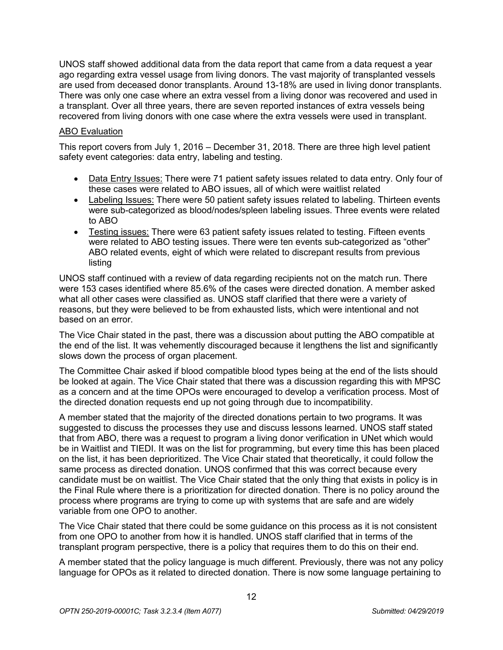UNOS staff showed additional data from the data report that came from a data request a year ago regarding extra vessel usage from living donors. The vast majority of transplanted vessels are used from deceased donor transplants. Around 13-18% are used in living donor transplants. There was only one case where an extra vessel from a living donor was recovered and used in a transplant. Over all three years, there are seven reported instances of extra vessels being recovered from living donors with one case where the extra vessels were used in transplant.

#### ABO Evaluation

This report covers from July 1, 2016 – December 31, 2018. There are three high level patient safety event categories: data entry, labeling and testing.

- Data Entry Issues: There were 71 patient safety issues related to data entry. Only four of these cases were related to ABO issues, all of which were waitlist related
- Labeling Issues: There were 50 patient safety issues related to labeling. Thirteen events were sub-categorized as blood/nodes/spleen labeling issues. Three events were related to ABO
- Testing issues: There were 63 patient safety issues related to testing. Fifteen events were related to ABO testing issues. There were ten events sub-categorized as "other" ABO related events, eight of which were related to discrepant results from previous listing

UNOS staff continued with a review of data regarding recipients not on the match run. There were 153 cases identified where 85.6% of the cases were directed donation. A member asked what all other cases were classified as. UNOS staff clarified that there were a variety of reasons, but they were believed to be from exhausted lists, which were intentional and not based on an error.

The Vice Chair stated in the past, there was a discussion about putting the ABO compatible at the end of the list. It was vehemently discouraged because it lengthens the list and significantly slows down the process of organ placement.

The Committee Chair asked if blood compatible blood types being at the end of the lists should be looked at again. The Vice Chair stated that there was a discussion regarding this with MPSC as a concern and at the time OPOs were encouraged to develop a verification process. Most of the directed donation requests end up not going through due to incompatibility.

A member stated that the majority of the directed donations pertain to two programs. It was suggested to discuss the processes they use and discuss lessons learned. UNOS staff stated that from ABO, there was a request to program a living donor verification in UNet which would be in Waitlist and TIEDI. It was on the list for programming, but every time this has been placed on the list, it has been deprioritized. The Vice Chair stated that theoretically, it could follow the same process as directed donation. UNOS confirmed that this was correct because every candidate must be on waitlist. The Vice Chair stated that the only thing that exists in policy is in the Final Rule where there is a prioritization for directed donation. There is no policy around the process where programs are trying to come up with systems that are safe and are widely variable from one OPO to another.

The Vice Chair stated that there could be some guidance on this process as it is not consistent from one OPO to another from how it is handled. UNOS staff clarified that in terms of the transplant program perspective, there is a policy that requires them to do this on their end.

A member stated that the policy language is much different. Previously, there was not any policy language for OPOs as it related to directed donation. There is now some language pertaining to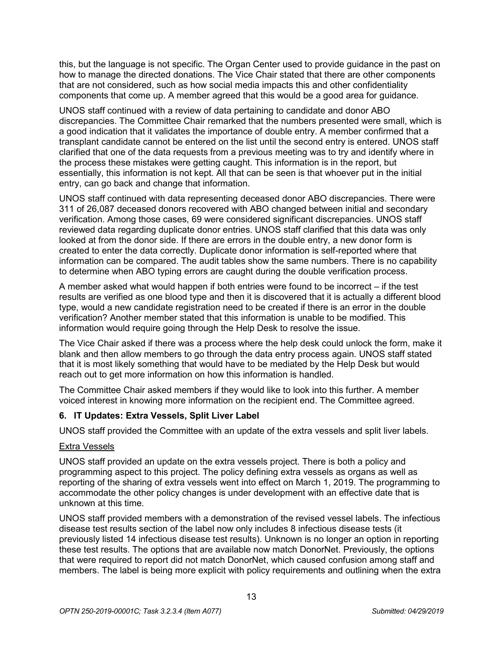this, but the language is not specific. The Organ Center used to provide guidance in the past on how to manage the directed donations. The Vice Chair stated that there are other components that are not considered, such as how social media impacts this and other confidentiality components that come up. A member agreed that this would be a good area for guidance.

UNOS staff continued with a review of data pertaining to candidate and donor ABO discrepancies. The Committee Chair remarked that the numbers presented were small, which is a good indication that it validates the importance of double entry. A member confirmed that a transplant candidate cannot be entered on the list until the second entry is entered. UNOS staff clarified that one of the data requests from a previous meeting was to try and identify where in the process these mistakes were getting caught. This information is in the report, but essentially, this information is not kept. All that can be seen is that whoever put in the initial entry, can go back and change that information.

UNOS staff continued with data representing deceased donor ABO discrepancies. There were 311 of 26,087 deceased donors recovered with ABO changed between initial and secondary verification. Among those cases, 69 were considered significant discrepancies. UNOS staff reviewed data regarding duplicate donor entries. UNOS staff clarified that this data was only looked at from the donor side. If there are errors in the double entry, a new donor form is created to enter the data correctly. Duplicate donor information is self-reported where that information can be compared. The audit tables show the same numbers. There is no capability to determine when ABO typing errors are caught during the double verification process.

A member asked what would happen if both entries were found to be incorrect – if the test results are verified as one blood type and then it is discovered that it is actually a different blood type, would a new candidate registration need to be created if there is an error in the double verification? Another member stated that this information is unable to be modified. This information would require going through the Help Desk to resolve the issue.

The Vice Chair asked if there was a process where the help desk could unlock the form, make it blank and then allow members to go through the data entry process again. UNOS staff stated that it is most likely something that would have to be mediated by the Help Desk but would reach out to get more information on how this information is handled.

The Committee Chair asked members if they would like to look into this further. A member voiced interest in knowing more information on the recipient end. The Committee agreed.

# **6. IT Updates: Extra Vessels, Split Liver Label**

UNOS staff provided the Committee with an update of the extra vessels and split liver labels.

# Extra Vessels

UNOS staff provided an update on the extra vessels project. There is both a policy and programming aspect to this project. The policy defining extra vessels as organs as well as reporting of the sharing of extra vessels went into effect on March 1, 2019. The programming to accommodate the other policy changes is under development with an effective date that is unknown at this time.

UNOS staff provided members with a demonstration of the revised vessel labels. The infectious disease test results section of the label now only includes 8 infectious disease tests (it previously listed 14 infectious disease test results). Unknown is no longer an option in reporting these test results. The options that are available now match DonorNet. Previously, the options that were required to report did not match DonorNet, which caused confusion among staff and members. The label is being more explicit with policy requirements and outlining when the extra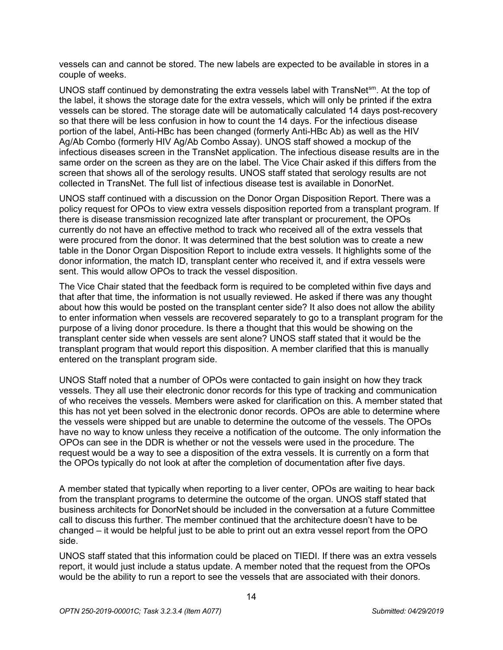vessels can and cannot be stored. The new labels are expected to be available in stores in a couple of weeks.

UNOS staff continued by demonstrating the extra vessels label with TransNet<sup>sm</sup>. At the top of the label, it shows the storage date for the extra vessels, which will only be printed if the extra vessels can be stored. The storage date will be automatically calculated 14 days post-recovery so that there will be less confusion in how to count the 14 days. For the infectious disease portion of the label, Anti-HBc has been changed (formerly Anti-HBc Ab) as well as the HIV Ag/Ab Combo (formerly HIV Ag/Ab Combo Assay). UNOS staff showed a mockup of the infectious diseases screen in the TransNet application. The infectious disease results are in the same order on the screen as they are on the label. The Vice Chair asked if this differs from the screen that shows all of the serology results. UNOS staff stated that serology results are not collected in TransNet. The full list of infectious disease test is available in DonorNet.

UNOS staff continued with a discussion on the Donor Organ Disposition Report. There was a policy request for OPOs to view extra vessels disposition reported from a transplant program. If there is disease transmission recognized late after transplant or procurement, the OPOs currently do not have an effective method to track who received all of the extra vessels that were procured from the donor. It was determined that the best solution was to create a new table in the Donor Organ Disposition Report to include extra vessels. It highlights some of the donor information, the match ID, transplant center who received it, and if extra vessels were sent. This would allow OPOs to track the vessel disposition.

The Vice Chair stated that the feedback form is required to be completed within five days and that after that time, the information is not usually reviewed. He asked if there was any thought about how this would be posted on the transplant center side? It also does not allow the ability to enter information when vessels are recovered separately to go to a transplant program for the purpose of a living donor procedure. Is there a thought that this would be showing on the transplant center side when vessels are sent alone? UNOS staff stated that it would be the transplant program that would report this disposition. A member clarified that this is manually entered on the transplant program side.

UNOS Staff noted that a number of OPOs were contacted to gain insight on how they track vessels. They all use their electronic donor records for this type of tracking and communication of who receives the vessels. Members were asked for clarification on this. A member stated that this has not yet been solved in the electronic donor records. OPOs are able to determine where the vessels were shipped but are unable to determine the outcome of the vessels. The OPOs have no way to know unless they receive a notification of the outcome. The only information the OPOs can see in the DDR is whether or not the vessels were used in the procedure. The request would be a way to see a disposition of the extra vessels. It is currently on a form that the OPOs typically do not look at after the completion of documentation after five days.

A member stated that typically when reporting to a liver center, OPOs are waiting to hear back from the transplant programs to determine the outcome of the organ. UNOS staff stated that business architects for DonorNet should be included in the conversation at a future Committee call to discuss this further. The member continued that the architecture doesn't have to be changed – it would be helpful just to be able to print out an extra vessel report from the OPO side.

UNOS staff stated that this information could be placed on TIEDI. If there was an extra vessels report, it would just include a status update. A member noted that the request from the OPOs would be the ability to run a report to see the vessels that are associated with their donors.